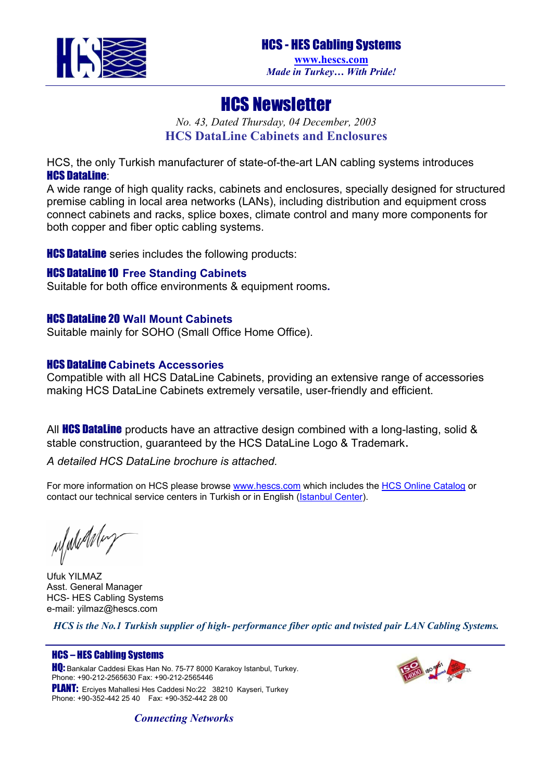

# HCS Newsletter

*No. 43, Dated Thursday, 04 December, 2003*  **HCS DataLine Cabinets and Enclosures** 

HCS, the only Turkish manufacturer of state-of-the-art LAN cabling systems introduces HCS DataLine:

A wide range of high quality racks, cabinets and enclosures, specially designed for structured premise cabling in local area networks (LANs), including distribution and equipment cross connect cabinets and racks, splice boxes, climate control and many more components for both copper and fiber optic cabling systems.

**HCS DataLine** series includes the following products:

## HCS DataLine 10 **Free Standing Cabinets**

Suitable for both office environments & equipment rooms**.** 

### HCS DataLine 20 **Wall Mount Cabinets**

Suitable mainly for SOHO (Small Office Home Office).

### HCS DataLine **Cabinets Accessories**

Compatible with all HCS DataLine Cabinets, providing an extensive range of accessories making HCS DataLine Cabinets extremely versatile, user-friendly and efficient.

All **HCS DataLine** products have an attractive design combined with a long-lasting, solid  $\&$ stable construction, guaranteed by the HCS DataLine Logo & Trademark.

## *A detailed HCS DataLine brochure is attached.*

For more information on HCS please browse [www.hescs.com](http://www.hescs.com/) which includes the [HCS Online Catalog](http://www.hescs.com/catalog/index.asp) or contact our technical service centers in Turkish or in English ([Istanbul Center\)](mailto:info@hescs.com).

ufuludday

Ufuk YILMAZ Asst. General Manager HCS- HES Cabling Systems e-mail: [yilmaz@hescs.com](mailto:yilmaz@hescs.com)

*HCS is the No.1 Turkish supplier of high- performance fiber optic and twisted pair LAN Cabling Systems.* 

### HCS – HES Cabling Systems

**HQ:** Bankalar Caddesi Ekas Han No. 75-77 8000 Karakoy Istanbul, Turkey. Phone: +90-212-2565630 Fax: +90-212-2565446 PLANT: Erciyes Mahallesi Hes Caddesi No:22 38210 Kayseri, Turkey Phone: +90-352-442 25 40 Fax: +90-352-442 28 00



*Connecting Networks*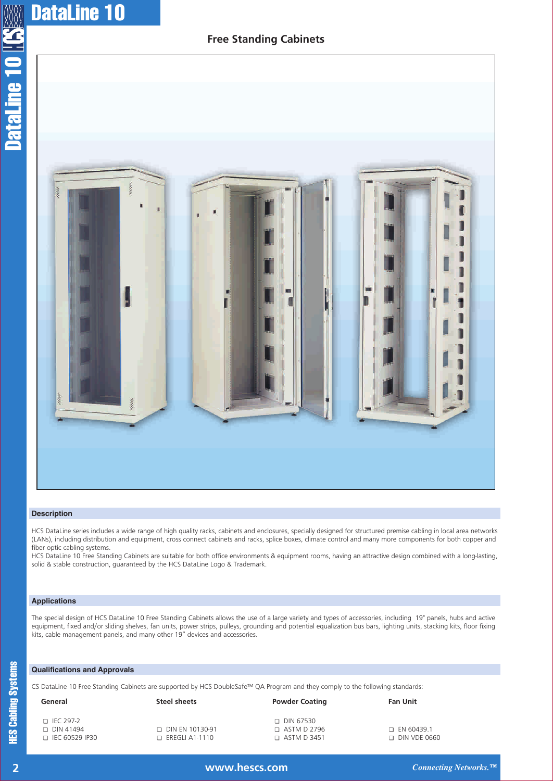## **Free Standing Cabinets**



#### **Description**

HCS DataLine series includes a wide range of high quality racks, cabinets and enclosures, specially designed for structured premise cabling in local area networks (LANs), including distribution and equipment, cross connect cabinets and racks, splice boxes, climate control and many more components for both copper and fiber optic cabling systems.

HCS DataLine 10 Free Standing Cabinets are suitable for both office environments & equipment rooms, having an attractive design combined with a long-lasting, solid & stable construction, guaranteed by the HCS DataLine Logo & Trademark.

#### **Applications**

The special design of HCS DataLine 10 Free Standing Cabinets allows the use of a large variety and types of accessories, including 19" panels, hubs and active equipment, fixed and/or sliding shelves, fan units, power strips, pulleys, grounding and potential equalization bus bars, lighting units, stacking kits, floor fixing kits, cable management panels, and many other 19" devices and accessories.

#### **Qualifications and Approvals**

CS DataLine 10 Free Standing Cabinets are supported by HCS DoubleSafe™ QA Program and they comply to the following standards:

| General                                                  | Steel sheets                               | <b>Powder Coating</b>                                        | <b>Fan Unit</b>                     |
|----------------------------------------------------------|--------------------------------------------|--------------------------------------------------------------|-------------------------------------|
| $\Box$ IEC 297-2<br>$\Box$ DIN 41494<br>□ IEC 60529 IP30 | □ DIN EN 10130-91<br>$\Box$ EREGLI A1-1110 | $\Box$ DIN 67530<br>$\Box$ ASTM D 2796<br>$\Box$ ASTM D 3451 | $\Box$ EN 60439.1<br>□ DIN VDE 0660 |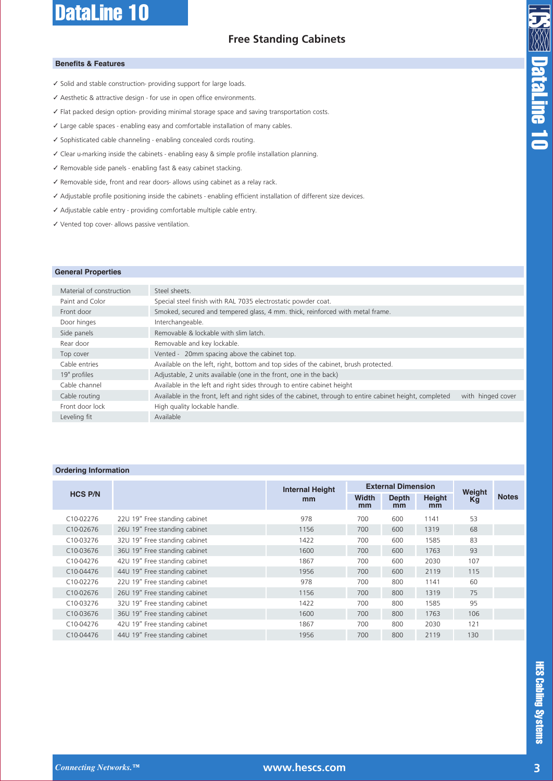# **Free Standing Cabinets**

#### **Benefits & Features**

- ✓ Solid and stable construction- providing support for large loads.
- ✓ Aesthetic & attractive design for use in open office environments.
- ✓ Flat packed design option- providing minimal storage space and saving transportation costs.
- ✓ Large cable spaces enabling easy and comfortable installation of many cables.
- ✓ Sophisticated cable channeling enabling concealed cords routing.
- ✓ Clear u-marking inside the cabinets enabling easy & simple profile installation planning.
- ✓ Removable side panels enabling fast & easy cabinet stacking.
- ✓ Removable side, front and rear doors- allows using cabinet as a relay rack.
- ✓ Adjustable profile positioning inside the cabinets enabling efficient installation of different size devices.
- ✓ Adjustable cable entry providing comfortable multiple cable entry.
- ✓ Vented top cover- allows passive ventilation.

#### **General Properties**

| Material of construction | Steel sheets.                                                                                                                 |
|--------------------------|-------------------------------------------------------------------------------------------------------------------------------|
| Paint and Color          | Special steel finish with RAL 7035 electrostatic powder coat.                                                                 |
| Front door               | Smoked, secured and tempered glass, 4 mm. thick, reinforced with metal frame.                                                 |
| Door hinges              | Interchangeable.                                                                                                              |
| Side panels              | Removable & lockable with slim latch.                                                                                         |
| Rear door                | Removable and key lockable.                                                                                                   |
| Top cover                | Vented - 20mm spacing above the cabinet top.                                                                                  |
| Cable entries            | Available on the left, right, bottom and top sides of the cabinet, brush protected.                                           |
| 19" profiles             | Adjustable, 2 units available (one in the front, one in the back)                                                             |
| Cable channel            | Available in the left and right sides through to entire cabinet height                                                        |
| Cable routing            | Available in the front, left and right sides of the cabinet, through to entire cabinet height, completed<br>with hinged cover |
| Front door lock          | High quality lockable handle.                                                                                                 |
| Leveling fit             | Available                                                                                                                     |
|                          |                                                                                                                               |

#### **Ordering Information**

|                        |                               | <b>Internal Height</b><br>mm | <b>External Dimension</b> |                    |              |              |              |
|------------------------|-------------------------------|------------------------------|---------------------------|--------------------|--------------|--------------|--------------|
| <b>HCS P/N</b>         |                               |                              | Width<br>mm               | <b>Depth</b><br>mm | Height<br>mm | Weight<br>Kg | <b>Notes</b> |
| C10-02276              | 22U 19" Free standing cabinet | 978                          | 700                       | 600                | 1141         | 53           |              |
| C <sub>10</sub> -02676 | 26U 19" Free standing cabinet | 1156                         | 700                       | 600                | 1319         | 68           |              |
| C10-03276              | 32U 19" Free standing cabinet | 1422                         | 700                       | 600                | 1585         | 83           |              |
| C10-03676              | 36U 19" Free standing cabinet | 1600                         | 700                       | 600                | 1763         | 93           |              |
| C10-04276              | 42U 19" Free standing cabinet | 1867                         | 700                       | 600                | 2030         | 107          |              |
| C10-04476              | 44U 19" Free standing cabinet | 1956                         | 700                       | 600                | 2119         | 115          |              |
| C10-02276              | 22U 19" Free standing cabinet | 978                          | 700                       | 800                | 1141         | 60           |              |
| C <sub>10</sub> -02676 | 26U 19" Free standing cabinet | 1156                         | 700                       | 800                | 1319         | 75           |              |
| C10-03276              | 32U 19" Free standing cabinet | 1422                         | 700                       | 800                | 1585         | 95           |              |
| C10-03676              | 36U 19" Free standing cabinet | 1600                         | 700                       | 800                | 1763         | 106          |              |
| C10-04276              | 42U 19" Free standing cabinet | 1867                         | 700                       | 800                | 2030         | 121          |              |
| C10-04476              | 44U 19" Free standing cabinet | 1956                         | 700                       | 800                | 2119         | 130          |              |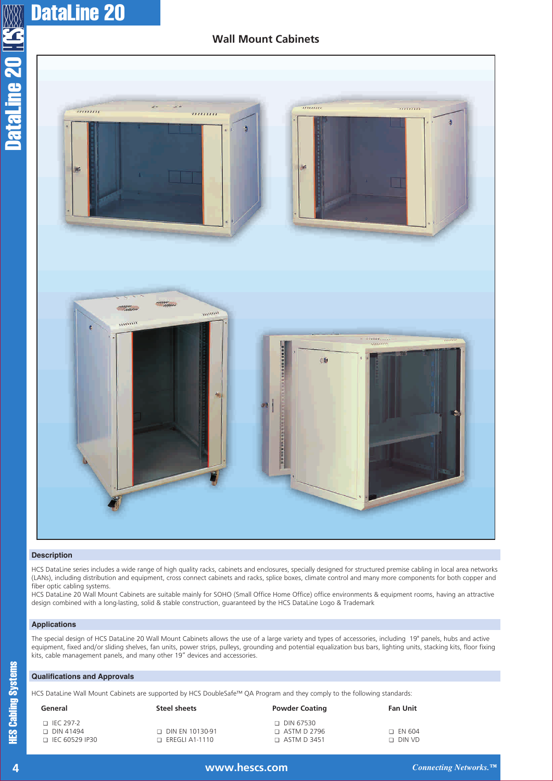# **Wall Mount Cabinets**



#### **Description**

HCS DataLine series includes a wide range of high quality racks, cabinets and enclosures, specially designed for structured premise cabling in local area networks (LANs), including distribution and equipment, cross connect cabinets and racks, splice boxes, climate control and many more components for both copper and fiber optic cabling systems.

HCS DataLine 20 Wall Mount Cabinets are suitable mainly for SOHO (Small Office Home Office) office environments & equipment rooms, having an attractive design combined with a long-lasting, solid & stable construction, guaranteed by the HCS DataLine Logo & Trademark

#### **Applications**

The special design of HCS DataLine 20 Wall Mount Cabinets allows the use of a large variety and types of accessories, including 19" panels, hubs and active equipment, fixed and/or sliding shelves, fan units, power strips, pulleys, grounding and potential equalization bus bars, lighting units, stacking kits, floor fixing kits, cable management panels, and many other 19" devices and accessories.

#### **Qualifications and Approvals**

HCS DataLine Wall Mount Cabinets are supported by HCS DoubleSafe™ QA Program and they comply to the following standards:

| General                                                  | Steel sheets                                    | <b>Powder Coating</b>                                   | <b>Fan Unit</b>                |
|----------------------------------------------------------|-------------------------------------------------|---------------------------------------------------------|--------------------------------|
| $\Box$ IEC 297-2<br>$\Box$ DIN 41494<br>□ IEC 60529 IP30 | $\Box$ DIN EN 10130-91<br>$\Box$ EREGLI A1-1110 | □ DIN 67530<br>$\Box$ ASTM D 2796<br>$\Box$ ASTM D 3451 | $\Box$ EN 604<br>$\Box$ DIN VD |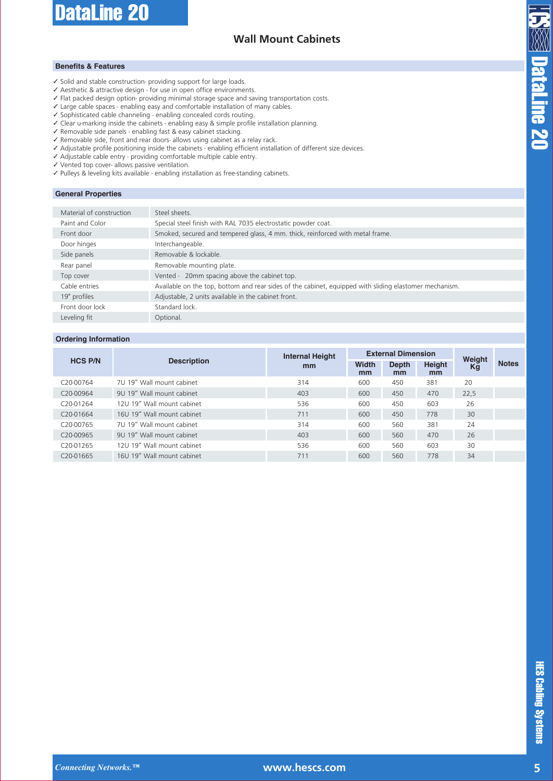# **Wall Mount Cabinets**

#### **Benefits & Features**

- ✓ Solid and stable construction- providing support for large loads.
- ✓ Aesthetic & attractive design for use in open office environments.
- ✓ Flat packed design option- providing minimal storage space and saving transportation costs.
- ✓ Large cable spaces enabling easy and comfortable installation of many cables.
- ✓ Sophisticated cable channeling enabling concealed cords routing.
- ✓ Clear u-marking inside the cabinets enabling easy & simple profile installation planning.
- ✓ Removable side panels enabling fast & easy cabinet stacking.
- ✓ Removable side, front and rear doors- allows using cabinet as a relay rack.
- ✓ Adjustable profile positioning inside the cabinets enabling efficient installation of different size devices.
- ✓ Adjustable cable entry providing comfortable multiple cable entry.
- ✓ Vented top cover- allows passive ventilation.
- ✓ Pulleys & leveling kits available enabling installation as free-standing cabinets.

#### **General Properties**

| Material of construction | Steel sheets.                                                                                          |
|--------------------------|--------------------------------------------------------------------------------------------------------|
| Paint and Color          | Special steel finish with RAL 7035 electrostatic powder coat.                                          |
| Front door               | Smoked, secured and tempered glass, 4 mm. thick, reinforced with metal frame.                          |
| Door hinges              | Interchangeable.                                                                                       |
| Side panels              | Removable & lockable.                                                                                  |
| Rear panel               | Removable mounting plate.                                                                              |
| Top cover                | Vented - 20mm spacing above the cabinet top.                                                           |
| Cable entries            | Available on the top, bottom and rear sides of the cabinet, equipped with sliding elastomer mechanism. |
| 19" profiles             | Adjustable, 2 units available in the cabinet front.                                                    |
| Front door lock          | Standard lock.                                                                                         |
| Leveling fit             | Optional.                                                                                              |
|                          |                                                                                                        |

#### **Ordering Information**

|                        | <b>Description</b>         | <b>Internal Height</b><br>mm | <b>External Dimension</b> |             |              | Weight |              |
|------------------------|----------------------------|------------------------------|---------------------------|-------------|--------------|--------|--------------|
| <b>HCS P/N</b>         |                            |                              | <b>Width</b><br>mm        | Depth<br>mm | Height<br>mm | Kg     | <b>Notes</b> |
| C <sub>20</sub> -00764 | 7U 19" Wall mount cabinet  | 314                          | 600                       | 450         | 381          | 20     |              |
| C <sub>20</sub> -00964 | 9U 19" Wall mount cabinet  | 403                          | 600                       | 450         | 470          | 22,5   |              |
| C <sub>20</sub> -01264 | 12U 19" Wall mount cabinet | 536                          | 600                       | 450         | 603          | 26     |              |
| C <sub>20</sub> -01664 | 16U 19" Wall mount cabinet | 711                          | 600                       | 450         | 778          | 30     |              |
| C <sub>20</sub> -00765 | 7U 19" Wall mount cabinet  | 314                          | 600                       | 560         | 381          | 24     |              |
| C <sub>20</sub> -00965 | 9U 19" Wall mount cabinet  | 403                          | 600                       | 560         | 470          | 26     |              |
| C <sub>20</sub> -01265 | 12U 19" Wall mount cabinet | 536                          | 600                       | 560         | 603          | 30     |              |
| C <sub>20</sub> -01665 | 16U 19" Wall mount cabinet | 711                          | 600                       | 560         | 778          | 34     |              |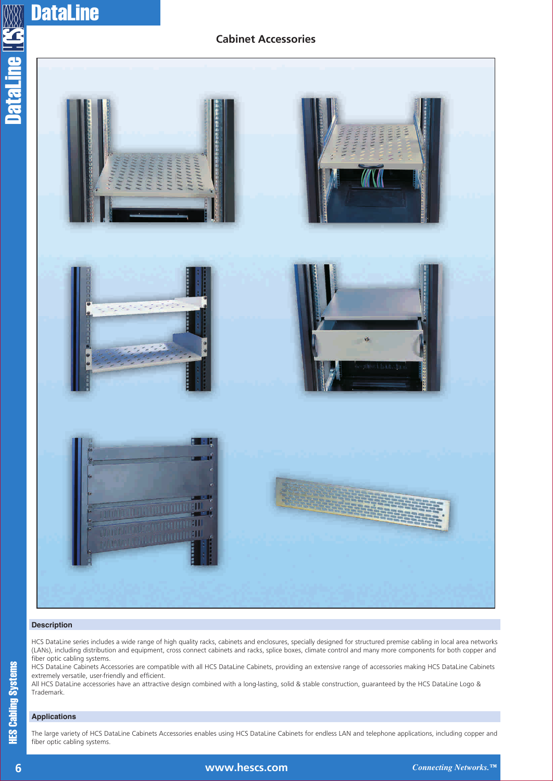# **Cabinet Accessories**



#### **Description**

HCS DataLine series includes a wide range of high quality racks, cabinets and enclosures, specially designed for structured premise cabling in local area networks (LANs), including distribution and equipment, cross connect cabinets and racks, splice boxes, climate control and many more components for both copper and fiber optic cabling systems.

HCS DataLine Cabinets Accessories are compatible with all HCS DataLine Cabinets, providing an extensive range of accessories making HCS DataLine Cabinets extremely versatile, user-friendly and efficient.

All HCS DataLine accessories have an attractive design combined with a long-lasting, solid & stable construction, guaranteed by the HCS DataLine Logo & Trademark.

### **Applications**

The large variety of HCS DataLine Cabinets Accessories enables using HCS DataLine Cabinets for endless LAN and telephone applications, including copper and fiber optic cabling systems.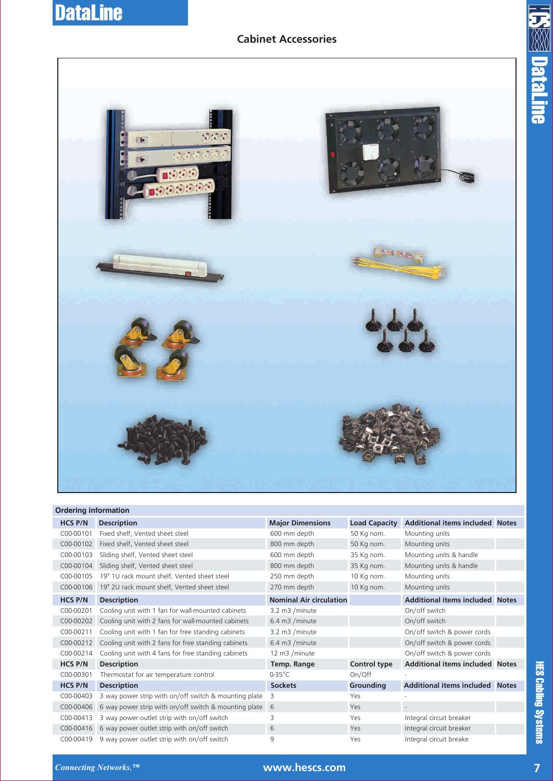# **Cabinet Accessories**





#### **Ordering information**

| <b>HCS P/N</b> | <b>Description</b>                                      | <b>Major Dimensions</b>        | <b>Load Capacity</b> | <b>Additional items included Notes</b> |  |
|----------------|---------------------------------------------------------|--------------------------------|----------------------|----------------------------------------|--|
| C00-00101      | Fixed shelf, Vented sheet steel                         | 600 mm depth                   | 50 Kg nom.           | Mounting units                         |  |
| C00-00102      | Fixed shelf, Vented sheet steel                         | 800 mm depth                   | 50 Kg nom.           | Mounting units                         |  |
| C00-00103      | Sliding shelf, Vented sheet steel                       | 600 mm depth                   | 35 Kg nom.           | Mounting units & handle                |  |
| C00-00104      | Sliding shelf, Vented sheet steel                       | 800 mm depth                   | 35 Kg nom.           | Mounting units & handle                |  |
| C00-00105      | 19" 1U rack mount shelf, Vented sheet steel             | 250 mm depth                   | 10 Kg nom.           | Mounting units                         |  |
| C00-00106      | 19" 2U rack mount shelf, Vented sheet steel             | 270 mm depth                   | 10 Kg nom.           | Mounting units                         |  |
| <b>HCS P/N</b> | <b>Description</b>                                      | <b>Nominal Air circulation</b> |                      | <b>Additional items included Notes</b> |  |
| C00-00201      | Cooling unit with 1 fan for wall-mounted cabinets       | 3.2 m3 /minute                 |                      | On/off switch                          |  |
| C00-00202      | Cooling unit with 2 fans for wall-mounted cabinets      | 6.4 m3 /minute                 |                      | On/off switch                          |  |
| C00-00211      | Cooling unit with 1 fan for free standing cabinets      | 3.2 m3 /minute                 |                      | On/off switch & power cords            |  |
| C00-00212      | Cooling unit with 2 fans for free standing cabinets     | 6.4 m3 /minute                 |                      | On/off switch & power cords            |  |
| C00-00214      | Cooling unit with 4 fans for free standing cabinets     | 12 m3 /minute                  |                      | On/off switch & power cords            |  |
| <b>HCS P/N</b> | <b>Description</b>                                      | <b>Temp. Range</b>             | Control type         | <b>Additional items included Notes</b> |  |
| C00-00301      | Thermostat for air temperature control                  | $0-35^{\circ}$ C               | On/Off               |                                        |  |
| <b>HCS P/N</b> | <b>Description</b>                                      | <b>Sockets</b>                 | <b>Grounding</b>     | <b>Additional items included Notes</b> |  |
| C00-00403      | 3 way power strip with on/off switch & mounting plate   | 3                              | Yes                  |                                        |  |
| C00-00406      | 6 way power strip with on/off switch & mounting plate 6 |                                | Yes                  |                                        |  |
| C00-00413      | 3 way power outlet strip with on/off switch             | 3                              | Yes                  | Integral circuit breaker               |  |
| C00-00416      | 6 way power outlet strip with on/off switch             | 6                              | Yes                  | Integral circuit breaker               |  |
| C00-00419      | 9 way power outlet strip with on/off switch             | 9                              | Yes                  | Integral circuit breake                |  |